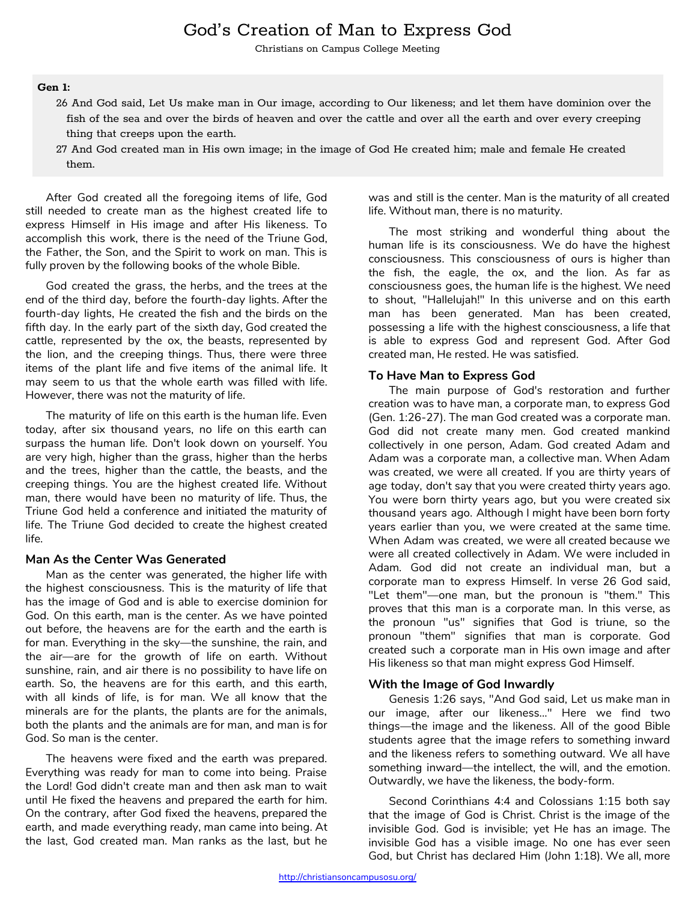# God's Creation of Man to Express God

Christians on Campus College Meeting

#### **Gen 1:**

- 26 And God said, Let Us make man in Our image, according to Our likeness; and let them have dominion over the fish of the sea and over the birds of heaven and over the cattle and over all the earth and over every creeping thing that creeps upon the earth.
- 27 And God created man in His own image; in the image of God He created him; male and female He created them.

After God created all the foregoing items of life, God still needed to create man as the highest created life to express Himself in His image and after His likeness. To accomplish this work, there is the need of the Triune God, the Father, the Son, and the Spirit to work on man. This is fully proven by the following books of the whole Bible.

God created the grass, the herbs, and the trees at the end of the third day, before the fourth-day lights. After the fourth-day lights, He created the fish and the birds on the fifth day. In the early part of the sixth day, God created the cattle, represented by the ox, the beasts, represented by the lion, and the creeping things. Thus, there were three items of the plant life and five items of the animal life. It may seem to us that the whole earth was filled with life. However, there was not the maturity of life.

The maturity of life on this earth is the human life. Even today, after six thousand years, no life on this earth can surpass the human life. Don't look down on yourself. You are very high, higher than the grass, higher than the herbs and the trees, higher than the cattle, the beasts, and the creeping things. You are the highest created life. Without man, there would have been no maturity of life. Thus, the Triune God held a conference and initiated the maturity of life. The Triune God decided to create the highest created life.

#### **Man As the Center Was Generated**

Man as the center was generated, the higher life with the highest consciousness. This is the maturity of life that has the image of God and is able to exercise dominion for God. On this earth, man is the center. As we have pointed out before, the heavens are for the earth and the earth is for man. Everything in the sky—the sunshine, the rain, and the air—are for the growth of life on earth. Without sunshine, rain, and air there is no possibility to have life on earth. So, the heavens are for this earth, and this earth, with all kinds of life, is for man. We all know that the minerals are for the plants, the plants are for the animals, both the plants and the animals are for man, and man is for God. So man is the center.

The heavens were fixed and the earth was prepared. Everything was ready for man to come into being. Praise the Lord! God didn't create man and then ask man to wait until He fixed the heavens and prepared the earth for him. On the contrary, after God fixed the heavens, prepared the earth, and made everything ready, man came into being. At the last, God created man. Man ranks as the last, but he

was and still is the center. Man is the maturity of all created life. Without man, there is no maturity.

The most striking and wonderful thing about the human life is its consciousness. We do have the highest consciousness. This consciousness of ours is higher than the fish, the eagle, the ox, and the lion. As far as consciousness goes, the human life is the highest. We need to shout, "Hallelujah!" In this universe and on this earth man has been generated. Man has been created, possessing a life with the highest consciousness, a life that is able to express God and represent God. After God created man, He rested. He was satisfied.

#### **To Have Man to Express God**

The main purpose of God's restoration and further creation was to have man, a corporate man, to express God (Gen. 1:26-27). The man God created was a corporate man. God did not create many men. God created mankind collectively in one person, Adam. God created Adam and Adam was a corporate man, a collective man. When Adam was created, we were all created. If you are thirty years of age today, don't say that you were created thirty years ago. You were born thirty years ago, but you were created six thousand years ago. Although I might have been born forty years earlier than you, we were created at the same time. When Adam was created, we were all created because we were all created collectively in Adam. We were included in Adam. God did not create an individual man, but a corporate man to express Himself. In verse 26 God said, "Let them"—one man, but the pronoun is "them." This proves that this man is a corporate man. In this verse, as the pronoun "us" signifies that God is triune, so the pronoun "them" signifies that man is corporate. God created such a corporate man in His own image and after His likeness so that man might express God Himself.

#### **With the Image of God Inwardly**

Genesis 1:26 says, "And God said, Let us make man in our image, after our likeness..." Here we find two things—the image and the likeness. All of the good Bible students agree that the image refers to something inward and the likeness refers to something outward. We all have something inward—the intellect, the will, and the emotion. Outwardly, we have the likeness, the body-form.

Second Corinthians 4:4 and Colossians 1:15 both say that the image of God is Christ. Christ is the image of the invisible God. God is invisible; yet He has an image. The invisible God has a visible image. No one has ever seen God, but Christ has declared Him (John 1:18). We all, more